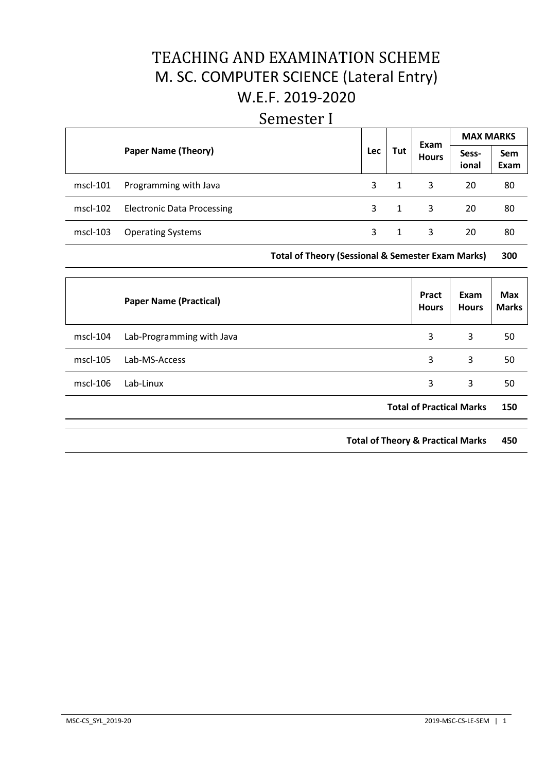# TEACHING AND EXAMINATION SCHEME M. SC. COMPUTER SCIENCE (Lateral Entry) W.E.F. 2019-2020

## Semester I

|          |                                   |            |     | Exam         | <b>MAX MARKS</b> |             |  |
|----------|-----------------------------------|------------|-----|--------------|------------------|-------------|--|
|          | <b>Paper Name (Theory)</b>        | <b>Lec</b> | Tut | <b>Hours</b> | Sess-<br>ional   | Sem<br>Exam |  |
| mscl-101 | Programming with Java             | 3.         | 1   | 3            | 20               | 80          |  |
| mscl-102 | <b>Electronic Data Processing</b> | 3.         | 1   | 3            | 20               | 80          |  |
| mscl-103 | <b>Operating Systems</b>          |            |     | 3            | 20               | 80          |  |

## **Total of Theory (Sessional & Semester Exam Marks) 300**

|          | <b>Paper Name (Practical)</b> | Pract<br><b>Hours</b>           | Exam<br><b>Hours</b>                         | <b>Max</b><br><b>Marks</b> |
|----------|-------------------------------|---------------------------------|----------------------------------------------|----------------------------|
| mscl-104 | Lab-Programming with Java     | 3                               | 3                                            | 50                         |
| mscl-105 | Lab-MS-Access                 | 3                               | 3                                            | 50                         |
| mscl-106 | Lab-Linux                     | 3                               | 3                                            | 50                         |
|          |                               | <b>Total of Practical Marks</b> |                                              | 150                        |
|          |                               |                                 |                                              |                            |
|          |                               |                                 | <b>Total of Theory &amp; Practical Marks</b> | 450                        |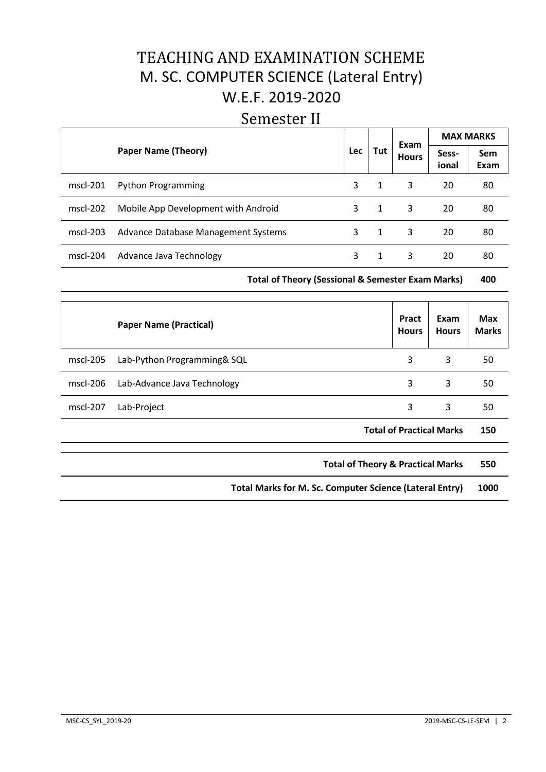# TEACHING AND EXAMINATION SCHEME M. SC. COMPUTER SCIENCE (Lateral Entry) W.E.F. 2019-2020

# Semester II

|            |                                     |            | Exam |              | <b>MAX MARKS</b> |                    |
|------------|-------------------------------------|------------|------|--------------|------------------|--------------------|
|            | <b>Paper Name (Theory)</b>          | <b>Lec</b> | Tut  | <b>Hours</b> | Sess-<br>ional   | <b>Sem</b><br>Exam |
| $mscl-201$ | <b>Python Programming</b>           | 3          | 1    | 3            | 20               | 80                 |
| $mscl-202$ | Mobile App Development with Android | 3          | 1    | 3            | 20               | 80                 |
| $mscl-203$ | Advance Database Management Systems | 3          | 1    | 3            | 20               | 80                 |
| $mscl-204$ | Advance Java Technology             | 3          | 1    | 3            | 20               | 80                 |

**Total of Theory (Sessional & Semester Exam Marks) 400**

|                                                         | <b>Paper Name (Practical)</b>                | Pract<br><b>Hours</b>           | Exam<br><b>Hours</b> | <b>Max</b><br><b>Marks</b> |
|---------------------------------------------------------|----------------------------------------------|---------------------------------|----------------------|----------------------------|
| $mscl-205$                                              | Lab-Python Programming& SQL                  | 3                               | 3                    | 50                         |
| $mscl-206$                                              | Lab-Advance Java Technology                  | 3                               | 3                    | 50                         |
| mscl-207                                                | Lab-Project                                  | 3                               | 3                    | 50                         |
|                                                         |                                              | <b>Total of Practical Marks</b> |                      | 150                        |
|                                                         | <b>Total of Theory &amp; Practical Marks</b> |                                 |                      | 550                        |
| Total Marks for M. Sc. Computer Science (Lateral Entry) |                                              |                                 | 1000                 |                            |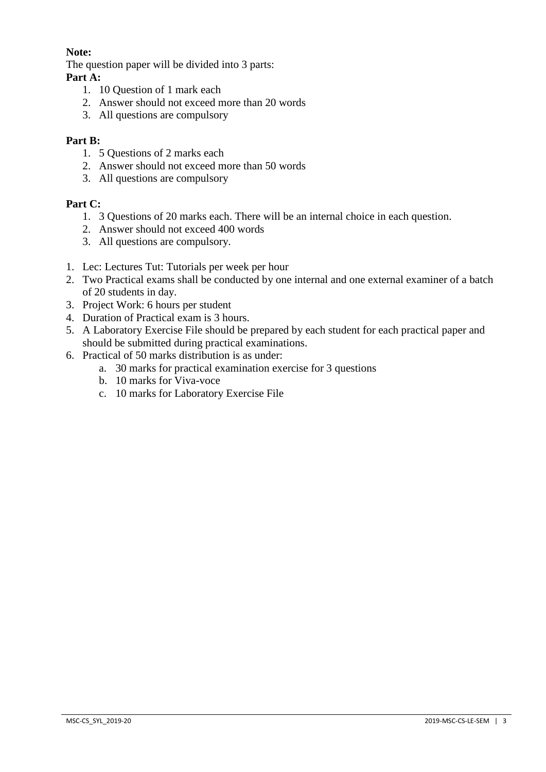## **Note:**

The question paper will be divided into 3 parts:

## **Part A:**

- 1. 10 Question of 1 mark each
- 2. Answer should not exceed more than 20 words
- 3. All questions are compulsory

## **Part B:**

- 1. 5 Questions of 2 marks each
- 2. Answer should not exceed more than 50 words
- 3. All questions are compulsory

## **Part C:**

- 1. 3 Questions of 20 marks each. There will be an internal choice in each question.
- 2. Answer should not exceed 400 words
- 3. All questions are compulsory.
- 1. Lec: Lectures Tut: Tutorials per week per hour
- 2. Two Practical exams shall be conducted by one internal and one external examiner of a batch of 20 students in day.
- 3. Project Work: 6 hours per student
- 4. Duration of Practical exam is 3 hours.
- 5. A Laboratory Exercise File should be prepared by each student for each practical paper and should be submitted during practical examinations.
- 6. Practical of 50 marks distribution is as under:
	- a. 30 marks for practical examination exercise for 3 questions
	- b. 10 marks for Viva-voce
	- c. 10 marks for Laboratory Exercise File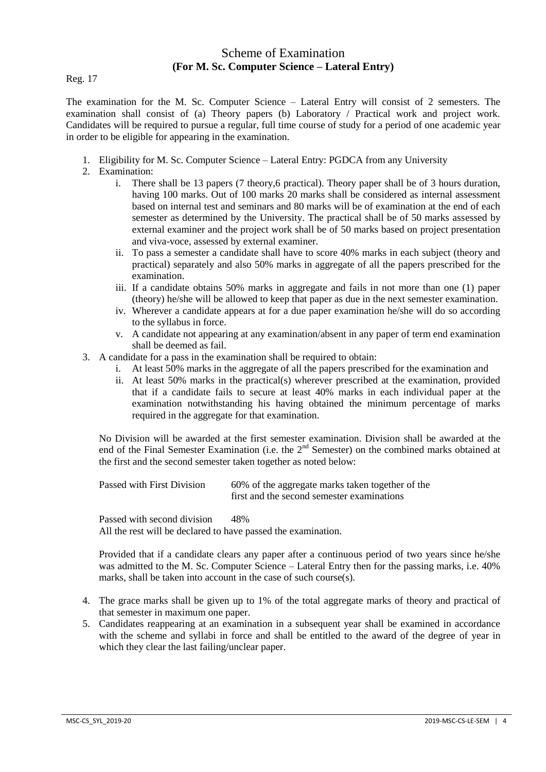## Scheme of Examination **(For M. Sc. Computer Science – Lateral Entry)**

Reg. 17

The examination for the M. Sc. Computer Science – Lateral Entry will consist of 2 semesters. The examination shall consist of (a) Theory papers (b) Laboratory / Practical work and project work. Candidates will be required to pursue a regular, full time course of study for a period of one academic year in order to be eligible for appearing in the examination.

- 1. Eligibility for M. Sc. Computer Science Lateral Entry: PGDCA from any University
- 2. Examination:
	- i. There shall be 13 papers (7 theory,6 practical). Theory paper shall be of 3 hours duration, having 100 marks. Out of 100 marks 20 marks shall be considered as internal assessment based on internal test and seminars and 80 marks will be of examination at the end of each semester as determined by the University. The practical shall be of 50 marks assessed by external examiner and the project work shall be of 50 marks based on project presentation and viva-voce, assessed by external examiner.
	- ii. To pass a semester a candidate shall have to score 40% marks in each subject (theory and practical) separately and also 50% marks in aggregate of all the papers prescribed for the examination.
	- iii. If a candidate obtains 50% marks in aggregate and fails in not more than one (1) paper (theory) he/she will be allowed to keep that paper as due in the next semester examination.
	- iv. Wherever a candidate appears at for a due paper examination he/she will do so according to the syllabus in force.
	- v. A candidate not appearing at any examination/absent in any paper of term end examination shall be deemed as fail.
- 3. A candidate for a pass in the examination shall be required to obtain:
	- i. At least 50% marks in the aggregate of all the papers prescribed for the examination and
	- ii. At least 50% marks in the practical(s) wherever prescribed at the examination, provided that if a candidate fails to secure at least 40% marks in each individual paper at the examination notwithstanding his having obtained the minimum percentage of marks required in the aggregate for that examination.

No Division will be awarded at the first semester examination. Division shall be awarded at the end of the Final Semester Examination (i.e. the  $2<sup>nd</sup>$  Semester) on the combined marks obtained at the first and the second semester taken together as noted below:

| Passed with First Division | 60% of the aggregate marks taken together of the |
|----------------------------|--------------------------------------------------|
|                            | first and the second semester examinations       |

Passed with second division 48% All the rest will be declared to have passed the examination.

Provided that if a candidate clears any paper after a continuous period of two years since he/she was admitted to the M. Sc. Computer Science – Lateral Entry then for the passing marks, i.e. 40% marks, shall be taken into account in the case of such course(s).

- 4. The grace marks shall be given up to 1% of the total aggregate marks of theory and practical of that semester in maximum one paper.
- 5. Candidates reappearing at an examination in a subsequent year shall be examined in accordance with the scheme and syllabi in force and shall be entitled to the award of the degree of year in which they clear the last failing/unclear paper.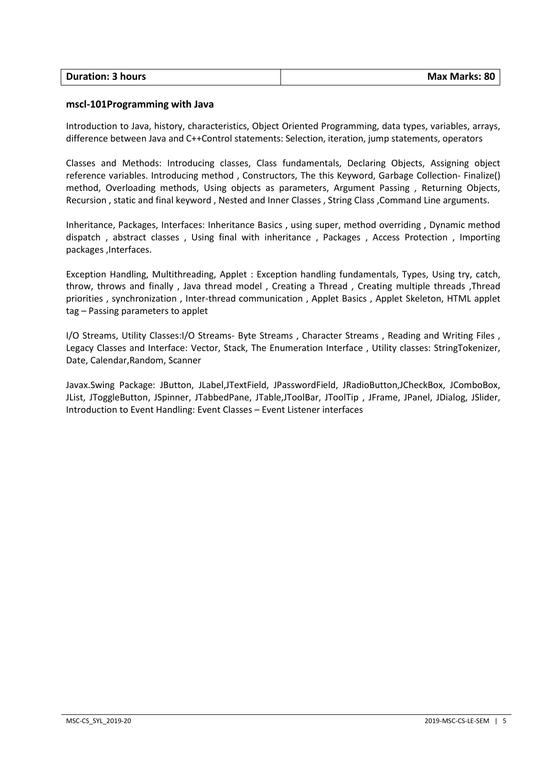| <b>Duration: 3 hours</b> | Max Marks: 80 |
|--------------------------|---------------|
|                          |               |

#### **mscl-101Programming with Java**

Introduction to Java, history, characteristics, Object Oriented Programming, data types, variables, arrays, difference between Java and C++Control statements: Selection, iteration, jump statements, operators

Classes and Methods: Introducing classes, Class fundamentals, Declaring Objects, Assigning object reference variables. Introducing method , Constructors, The this Keyword, Garbage Collection- Finalize() method, Overloading methods, Using objects as parameters, Argument Passing , Returning Objects, Recursion , static and final keyword , Nested and Inner Classes , String Class ,Command Line arguments.

Inheritance, Packages, Interfaces: Inheritance Basics , using super, method overriding , Dynamic method dispatch , abstract classes , Using final with inheritance , Packages , Access Protection , Importing packages ,Interfaces.

Exception Handling, Multithreading, Applet : Exception handling fundamentals, Types, Using try, catch, throw, throws and finally , Java thread model , Creating a Thread , Creating multiple threads ,Thread priorities , synchronization , Inter-thread communication , Applet Basics , Applet Skeleton, HTML applet tag – Passing parameters to applet

I/O Streams, Utility Classes:I/O Streams- Byte Streams , Character Streams , Reading and Writing Files , Legacy Classes and Interface: Vector, Stack, The Enumeration Interface , Utility classes: StringTokenizer, Date, Calendar,Random, Scanner

Javax.Swing Package: JButton, JLabel,JTextField, JPasswordField, JRadioButton,JCheckBox, JComboBox, JList, JToggleButton, JSpinner, JTabbedPane, JTable,JToolBar, JToolTip , JFrame, JPanel, JDialog, JSlider, Introduction to Event Handling: Event Classes – Event Listener interfaces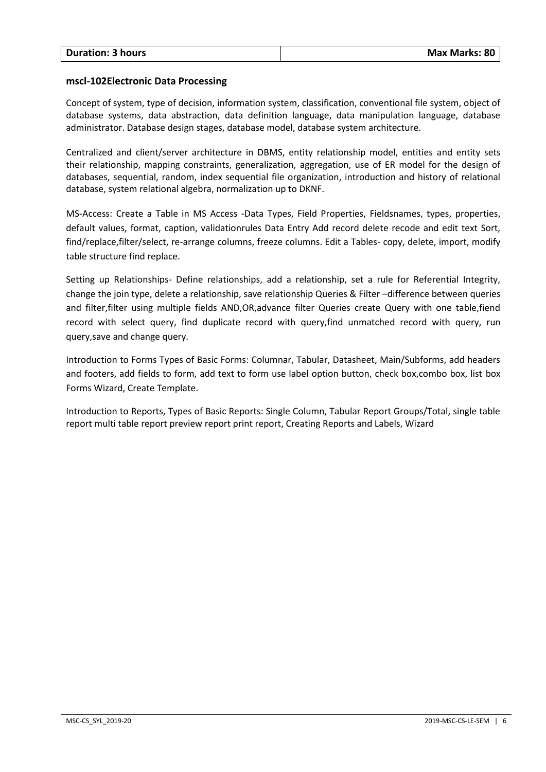#### **mscl-102Electronic Data Processing**

Concept of system, type of decision, information system, classification, conventional file system, object of database systems, data abstraction, data definition language, data manipulation language, database administrator. Database design stages, database model, database system architecture.

Centralized and client/server architecture in DBMS, entity relationship model, entities and entity sets their relationship, mapping constraints, generalization, aggregation, use of ER model for the design of databases, sequential, random, index sequential file organization, introduction and history of relational database, system relational algebra, normalization up to DKNF.

MS-Access: Create a Table in MS Access -Data Types, Field Properties, Fieldsnames, types, properties, default values, format, caption, validationrules Data Entry Add record delete recode and edit text Sort, find/replace,filter/select, re-arrange columns, freeze columns. Edit a Tables- copy, delete, import, modify table structure find replace.

Setting up Relationships- Define relationships, add a relationship, set a rule for Referential Integrity, change the join type, delete a relationship, save relationship Queries & Filter –difference between queries and filter,filter using multiple fields AND,OR,advance filter Queries create Query with one table,fiend record with select query, find duplicate record with query,find unmatched record with query, run query,save and change query.

Introduction to Forms Types of Basic Forms: Columnar, Tabular, Datasheet, Main/Subforms, add headers and footers, add fields to form, add text to form use label option button, check box,combo box, list box Forms Wizard, Create Template.

Introduction to Reports, Types of Basic Reports: Single Column, Tabular Report Groups/Total, single table report multi table report preview report print report, Creating Reports and Labels, Wizard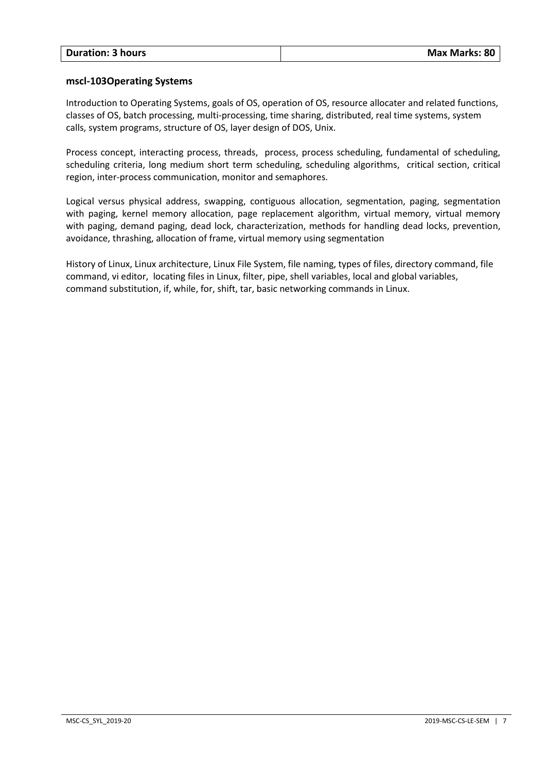#### **mscl-103Operating Systems**

Introduction to Operating Systems, goals of OS, operation of OS, resource allocater and related functions, classes of OS, batch processing, multi-processing, time sharing, distributed, real time systems, system calls, system programs, structure of OS, layer design of DOS, Unix.

Process concept, interacting process, threads, process, process scheduling, fundamental of scheduling, scheduling criteria, long medium short term scheduling, scheduling algorithms, critical section, critical region, inter-process communication, monitor and semaphores.

Logical versus physical address, swapping, contiguous allocation, segmentation, paging, segmentation with paging, kernel memory allocation, page replacement algorithm, virtual memory, virtual memory with paging, demand paging, dead lock, characterization, methods for handling dead locks, prevention, avoidance, thrashing, allocation of frame, virtual memory using segmentation

History of Linux, Linux architecture, Linux File System, file naming, types of files, directory command, file command, vi editor, locating files in Linux, filter, pipe, shell variables, local and global variables, command substitution, if, while, for, shift, tar, basic networking commands in Linux.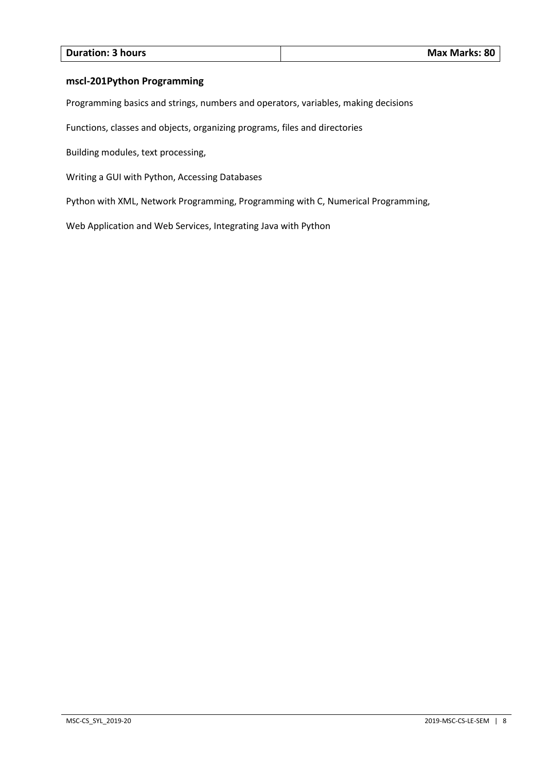| <b>Max Marks: 80</b> |
|----------------------|
|                      |

#### **mscl-201Python Programming**

Programming basics and strings, numbers and operators, variables, making decisions

Functions, classes and objects, organizing programs, files and directories

Building modules, text processing,

Writing a GUI with Python, Accessing Databases

Python with XML, Network Programming, Programming with C, Numerical Programming,

Web Application and Web Services, Integrating Java with Python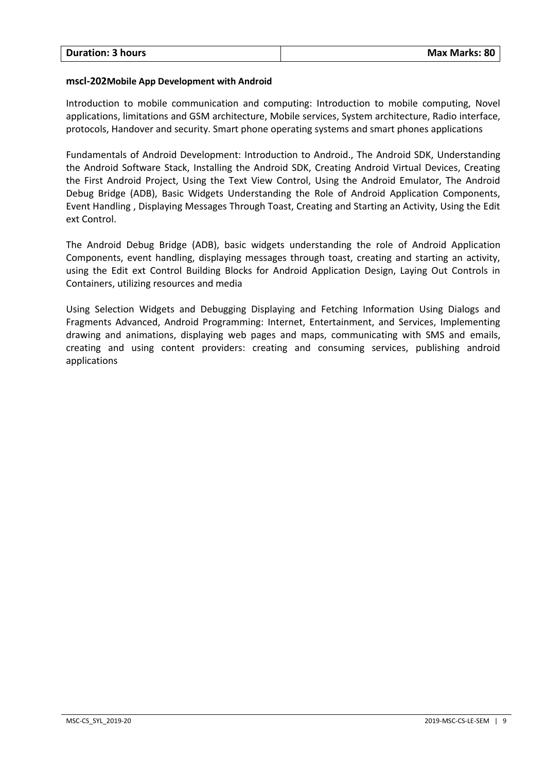#### **mscl-202Mobile App Development with Android**

Introduction to mobile communication and computing: Introduction to mobile computing, Novel applications, limitations and GSM architecture, Mobile services, System architecture, Radio interface, protocols, Handover and security. Smart phone operating systems and smart phones applications

Fundamentals of Android Development: Introduction to Android., The Android SDK, Understanding the Android Software Stack, Installing the Android SDK, Creating Android Virtual Devices, Creating the First Android Project, Using the Text View Control, Using the Android Emulator, The Android Debug Bridge (ADB), Basic Widgets Understanding the Role of Android Application Components, Event Handling , Displaying Messages Through Toast, Creating and Starting an Activity, Using the Edit ext Control.

The Android Debug Bridge (ADB), basic widgets understanding the role of Android Application Components, event handling, displaying messages through toast, creating and starting an activity, using the Edit ext Control Building Blocks for Android Application Design, Laying Out Controls in Containers, utilizing resources and media

Using Selection Widgets and Debugging Displaying and Fetching Information Using Dialogs and Fragments Advanced, Android Programming: Internet, Entertainment, and Services, Implementing drawing and animations, displaying web pages and maps, communicating with SMS and emails, creating and using content providers: creating and consuming services, publishing android applications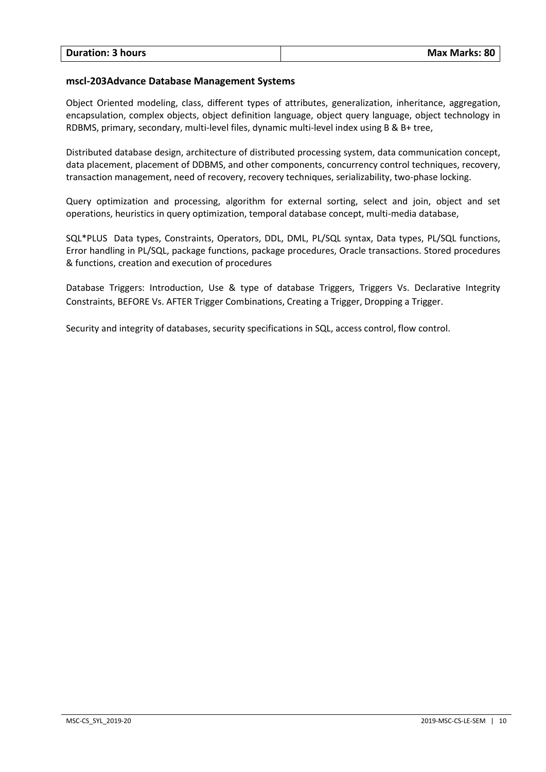#### **mscl-203Advance Database Management Systems**

Object Oriented modeling, class, different types of attributes, generalization, inheritance, aggregation, encapsulation, complex objects, object definition language, object query language, object technology in RDBMS, primary, secondary, multi-level files, dynamic multi-level index using B & B+ tree,

Distributed database design, architecture of distributed processing system, data communication concept, data placement, placement of DDBMS, and other components, concurrency control techniques, recovery, transaction management, need of recovery, recovery techniques, serializability, two-phase locking.

Query optimization and processing, algorithm for external sorting, select and join, object and set operations, heuristics in query optimization, temporal database concept, multi-media database,

SQL\*PLUS Data types, Constraints, Operators, DDL, DML, PL/SQL syntax, Data types, PL/SQL functions, Error handling in PL/SQL, package functions, package procedures, Oracle transactions. Stored procedures & functions, creation and execution of procedures

Database Triggers: Introduction, Use & type of database Triggers, Triggers Vs. Declarative Integrity Constraints, BEFORE Vs. AFTER Trigger Combinations, Creating a Trigger, Dropping a Trigger.

Security and integrity of databases, security specifications in SQL, access control, flow control.